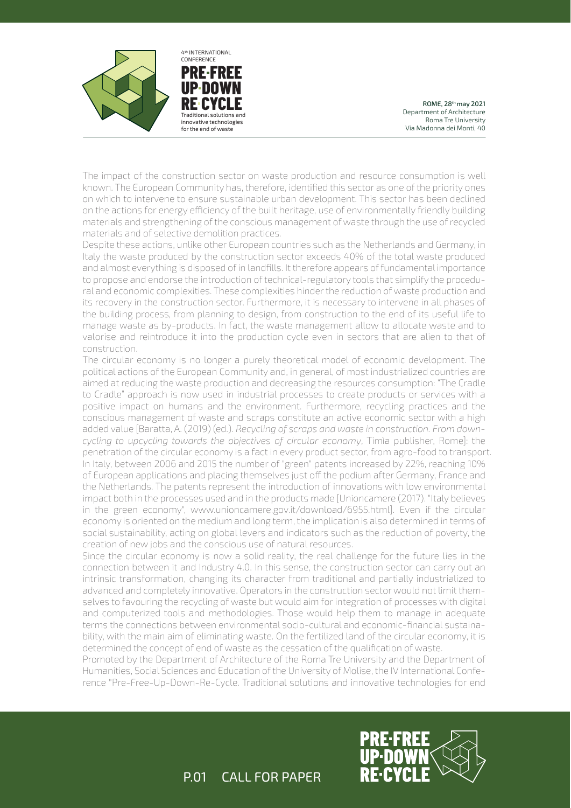

**PRE FREE UP DOWN RE** Traditional solutions and innovative technologies for the end of waste CONFERENCE

4th INTERNATIONAL

ROME, 28th may 2021 Department of Architecture Roma Tre University Via Madonna dei Monti, 40

The impact of the construction sector on waste production and resource consumption is well known. The European Community has, therefore, identified this sector as one of the priority ones on which to intervene to ensure sustainable urban development. This sector has been declined on the actions for energy efficiency of the built heritage, use of environmentally friendly building materials and strengthening of the conscious management of waste through the use of recycled materials and of selective demolition practices.

Despite these actions, unlike other European countries such as the Netherlands and Germany, in Italy the waste produced by the construction sector exceeds 40% of the total waste produced and almost everything is disposed of in landfills. It therefore appears of fundamental importance to propose and endorse the introduction of technical-regulatory tools that simplify the procedural and economic complexities. These complexities hinder the reduction of waste production and its recovery in the construction sector. Furthermore, it is necessary to intervene in all phases of the building process, from planning to design, from construction to the end of its useful life to manage waste as by-products. In fact, the waste management allow to allocate waste and to valorise and reintroduce it into the production cycle even in sectors that are alien to that of construction.

The circular economy is no longer a purely theoretical model of economic development. The political actions of the European Community and, in general, of most industrialized countries are aimed at reducing the waste production and decreasing the resources consumption: "The Cradle to Cradle" approach is now used in industrial processes to create products or services with a positive impact on humans and the environment. Furthermore, recycling practices and the conscious management of waste and scraps constitute an active economic sector with a high added value [Baratta, A. (2019) (ed.). *Recycling of scraps and waste in construction. From downcycling to upcycling towards the objectives of circular economy*, Timìa publisher, Rome]: the penetration of the circular economy is a fact in every product sector, from agro-food to transport. In Italy, between 2006 and 2015 the number of "green" patents increased by 22%, reaching 10% of European applications and placing themselves just off the podium after Germany, France and the Netherlands. The patents represent the introduction of innovations with low environmental impact both in the processes used and in the products made [Unioncamere (2017). "Italy believes in the green economy", www.unioncamere.gov.it/download/6955.html]. Even if the circular economy is oriented on the medium and long term, the implication is also determined in terms of social sustainability, acting on global levers and indicators such as the reduction of poverty, the creation of new jobs and the conscious use of natural resources.

Since the circular economy is now a solid reality, the real challenge for the future lies in the connection between it and Industry 4.0. In this sense, the construction sector can carry out an intrinsic transformation, changing its character from traditional and partially industrialized to advanced and completely innovative. Operators in the construction sector would not limit themselves to favouring the recycling of waste but would aim for integration of processes with digital and computerized tools and methodologies. Those would help them to manage in adequate terms the connections between environmental socio-cultural and economic-financial sustainability, with the main aim of eliminating waste. On the fertilized land of the circular economy, it is determined the concept of end of waste as the cessation of the qualification of waste.

Promoted by the Department of Architecture of the Roma Tre University and the Department of Humanities, Social Sciences and Education of the University of Molise, the IV International Conference "Pre-Free-Up-Down-Re-Cycle. Traditional solutions and innovative technologies for end

P.01 CALL FOR PAPER

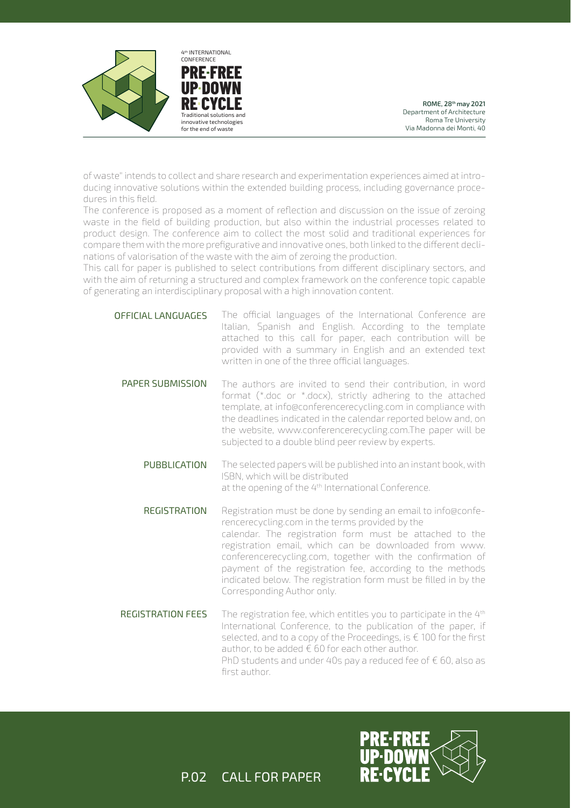



ROME, 28th may 2021 Department of Architecture Roma Tre University Via Madonna dei Monti, 40

of waste" intends to collect and share research and experimentation experiences aimed at introducing innovative solutions within the extended building process, including governance procedures in this field.

The conference is proposed as a moment of reflection and discussion on the issue of zeroing waste in the field of building production, but also within the industrial processes related to product design. The conference aim to collect the most solid and traditional experiences for compare them with the more prefigurative and innovative ones, both linked to the different declinations of valorisation of the waste with the aim of zeroing the production.

This call for paper is published to select contributions from different disciplinary sectors, and with the aim of returning a structured and complex framework on the conference topic capable of generating an interdisciplinary proposal with a high innovation content.

- The official languages of the International Conference are Italian, Spanish and English. According to the template attached to this call for paper, each contribution will be provided with a summary in English and an extended text written in one of the three official languages. OFFICIAL LANGUAGES
	- The authors are invited to send their contribution, in word format (\*.doc or \*.docx), strictly adhering to the attached template, at info@conferencerecycling.com in compliance with the deadlines indicated in the calendar reported below and, on the website, www.conferencerecycling.com.The paper will be subjected to a double blind peer review by experts. PAPER SUBMISSION
		- The selected papers will be published into an instant book, with ISBN, which will be distributed at the opening of the 4<sup>th</sup> International Conference. PUBBLICATION
		- Registration must be done by sending an email to info@conferencerecycling.com in the terms provided by the calendar. The registration form must be attached to the registration email, which can be downloaded from www. conferencerecycling.com, together with the confirmation of payment of the registration fee, according to the methods indicated below. The registration form must be filled in by the Corresponding Author only. REGISTRATION
	- The registration fee, which entitles you to participate in the 4<sup>th</sup> International Conference, to the publication of the paper, if selected, and to a copy of the Proceedings, is € 100 for the first author, to be added  $\epsilon$  60 for each other author. PhD students and under 40s pay a reduced fee of  $\epsilon$  60, also as first author. REGISTRATION FEES



P.02 CALL FOR PAPER